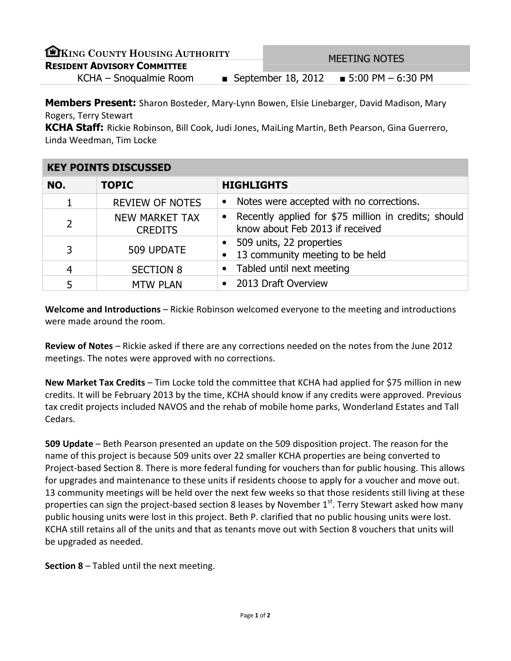| EKING COUNTY HOUSING AUTHORITY     |  | <b>MEETING NOTES</b> |                                           |  |
|------------------------------------|--|----------------------|-------------------------------------------|--|
| <b>RESIDENT ADVISORY COMMITTEE</b> |  |                      |                                           |  |
| KCHA - Snoqualmie Room             |  |                      | ■ September 18, 2012 ■ 5:00 PM $-6:30$ PM |  |

Members Present: Sharon Bosteder, Mary-Lynn Bowen, Elsie Linebarger, David Madison, Mary Rogers, Terry Stewart

KCHA Staff: Rickie Robinson, Bill Cook, Judi Jones, MaiLing Martin, Beth Pearson, Gina Guerrero, Linda Weedman, Tim Locke

| <b>KEY POINTS DISCUSSED</b> |                                  |                                                                                                      |  |  |
|-----------------------------|----------------------------------|------------------------------------------------------------------------------------------------------|--|--|
| NO.                         | <b>TOPIC</b>                     | <b>HIGHLIGHTS</b>                                                                                    |  |  |
|                             | <b>REVIEW OF NOTES</b>           | Notes were accepted with no corrections.<br>$\bullet$                                                |  |  |
| $\overline{2}$              | NEW MARKET TAX<br><b>CREDITS</b> | Recently applied for \$75 million in credits; should<br>$\bullet$<br>know about Feb 2013 if received |  |  |
| 3                           | 509 UPDATE                       | 509 units, 22 properties<br>13 community meeting to be held                                          |  |  |
| 4                           | <b>SECTION 8</b>                 | • Tabled until next meeting                                                                          |  |  |
| 5                           | <b>MTW PLAN</b>                  | 2013 Draft Overview<br>$\bullet$                                                                     |  |  |

Welcome and Introductions – Rickie Robinson welcomed everyone to the meeting and introductions were made around the room.

Review of Notes – Rickie asked if there are any corrections needed on the notes from the June 2012 meetings. The notes were approved with no corrections.

New Market Tax Credits – Tim Locke told the committee that KCHA had applied for \$75 million in new credits. It will be February 2013 by the time, KCHA should know if any credits were approved. Previous tax credit projects included NAVOS and the rehab of mobile home parks, Wonderland Estates and Tall Cedars.

509 Update – Beth Pearson presented an update on the 509 disposition project. The reason for the name of this project is because 509 units over 22 smaller KCHA properties are being converted to Project-based Section 8. There is more federal funding for vouchers than for public housing. This allows for upgrades and maintenance to these units if residents choose to apply for a voucher and move out. 13 community meetings will be held over the next few weeks so that those residents still living at these properties can sign the project-based section 8 leases by November  $1<sup>st</sup>$ . Terry Stewart asked how many public housing units were lost in this project. Beth P. clarified that no public housing units were lost. KCHA still retains all of the units and that as tenants move out with Section 8 vouchers that units will be upgraded as needed.

Section 8 – Tabled until the next meeting.